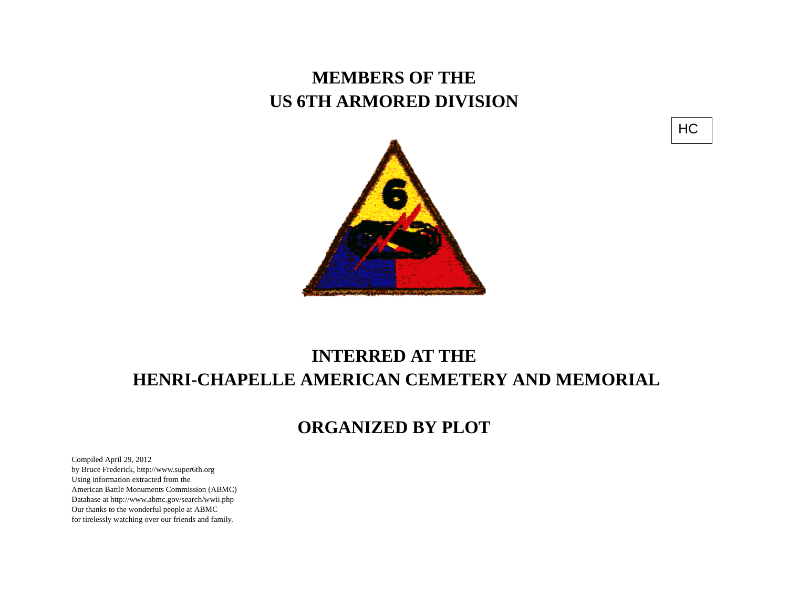## **MEMBERS OF THE US 6TH ARMORED DIVISION**





## **INTERRED AT THE HENRI-CHAPELLE AMERICAN CEMETERY AND MEMORIAL**

## **ORGANIZED BY PLOT**

Compiled April 29, 2012 by Bruce Frederick, http://www.super6th.orgUsing information extracted from the American Battle Monuments Commission (ABMC) Database at http://www.abmc.gov/search/wwii.phpOur thanks to the wonderful people at ABMC for tirelessly watching over our friends and family.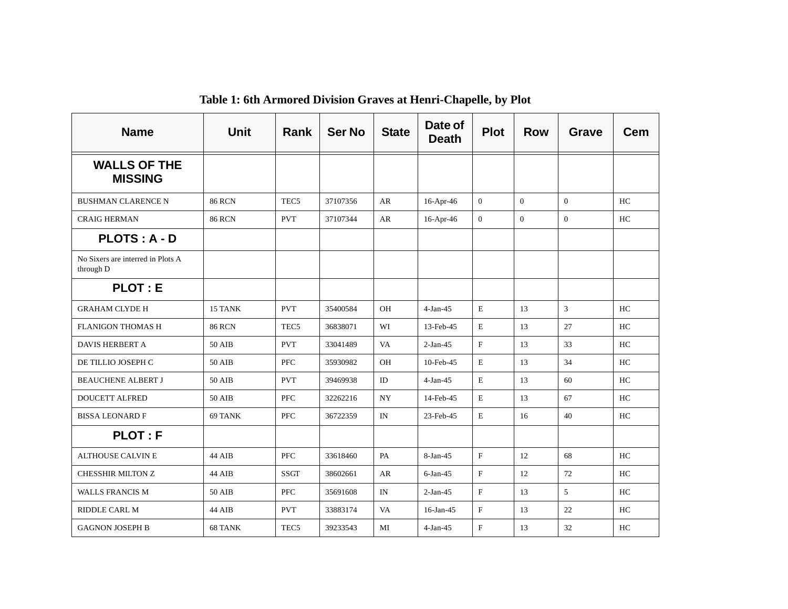| <b>Name</b>                                    | <b>Unit</b>   | <b>Rank</b>      | <b>Ser No</b> | <b>State</b> | Date of<br><b>Death</b> | <b>Plot</b>    | <b>Row</b>   | <b>Grave</b>   | <b>Cem</b> |
|------------------------------------------------|---------------|------------------|---------------|--------------|-------------------------|----------------|--------------|----------------|------------|
| <b>WALLS OF THE</b><br><b>MISSING</b>          |               |                  |               |              |                         |                |              |                |            |
| <b>BUSHMAN CLARENCE N</b>                      | <b>86 RCN</b> | TEC <sub>5</sub> | 37107356      | AR           | $16$ -Apr-46            | $\mathbf{0}$   | $\Omega$     | $\theta$       | HC         |
| <b>CRAIG HERMAN</b>                            | <b>86 RCN</b> | <b>PVT</b>       | 37107344      | AR           | 16-Apr-46               | $\overline{0}$ | $\mathbf{0}$ | $\overline{0}$ | HC         |
| <b>PLOTS: A - D</b>                            |               |                  |               |              |                         |                |              |                |            |
| No Sixers are interred in Plots A<br>through D |               |                  |               |              |                         |                |              |                |            |
| <b>PLOT: E</b>                                 |               |                  |               |              |                         |                |              |                |            |
| <b>GRAHAM CLYDE H</b>                          | 15 TANK       | <b>PVT</b>       | 35400584      | <b>OH</b>    | $4-Jan-45$              | Е              | 13           | 3              | HC         |
| <b>FLANIGON THOMAS H</b>                       | <b>86 RCN</b> | TEC <sub>5</sub> | 36838071      | WI           | 13-Feb-45               | E              | 13           | 27             | HC         |
| <b>DAVIS HERBERT A</b>                         | 50 AIB        | <b>PVT</b>       | 33041489      | VA           | $2-Jan-45$              | $_{\rm F}$     | 13           | 33             | HC         |
| DE TILLIO JOSEPH C                             | 50 AIB        | <b>PFC</b>       | 35930982      | OH           | 10-Feb-45               | E              | 13           | 34             | HC         |
| <b>BEAUCHENE ALBERT J</b>                      | 50 AIB        | <b>PVT</b>       | 39469938      | ID           | $4-Jan-45$              | E              | 13           | 60             | HC         |
| <b>DOUCETT ALFRED</b>                          | 50 AIB        | <b>PFC</b>       | 32262216      | NY.          | 14-Feb-45               | Е              | 13           | 67             | HC         |
| <b>BISSA LEONARD F</b>                         | 69 TANK       | <b>PFC</b>       | 36722359      | IN           | 23-Feb-45               | E              | 16           | 40             | HC         |
| <b>PLOT: F</b>                                 |               |                  |               |              |                         |                |              |                |            |
| <b>ALTHOUSE CALVIN E</b>                       | 44 AIB        | <b>PFC</b>       | 33618460      | PA           | $8-Jan-45$              | F              | 12           | 68             | HC         |
| CHESSHIR MILTON Z                              | 44 AIB        | <b>SSGT</b>      | 38602661      | AR           | $6$ -Jan-45             | F              | 12           | 72             | HC         |
| <b>WALLS FRANCIS M</b>                         | 50 AIB        | <b>PFC</b>       | 35691608      | IN           | $2-Jan-45$              | $\mathbf{F}$   | 13           | 5 <sup>5</sup> | HC         |
| RIDDLE CARL M                                  | 44 AIB        | <b>PVT</b>       | 33883174      | VA           | $16$ -Jan-45            | F              | 13           | 22             | HC         |
| <b>GAGNON JOSEPH B</b>                         | 68 TANK       | TEC <sub>5</sub> | 39233543      | MI           | $4-Jan-45$              | $_{\rm F}$     | 13           | 32             | HC         |

**Table 1: 6th Armored Division Graves at Henri-Chapelle, by Plot**